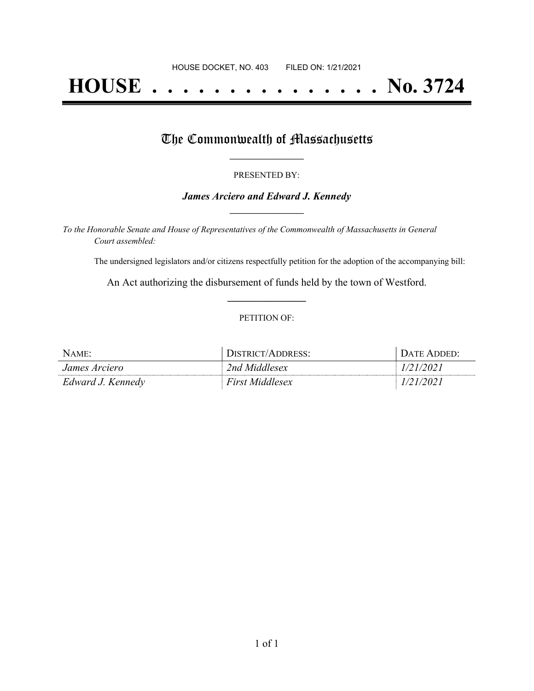# **HOUSE . . . . . . . . . . . . . . . No. 3724**

### The Commonwealth of Massachusetts

#### PRESENTED BY:

#### *James Arciero and Edward J. Kennedy* **\_\_\_\_\_\_\_\_\_\_\_\_\_\_\_\_\_**

*To the Honorable Senate and House of Representatives of the Commonwealth of Massachusetts in General Court assembled:*

The undersigned legislators and/or citizens respectfully petition for the adoption of the accompanying bill:

An Act authorizing the disbursement of funds held by the town of Westford. **\_\_\_\_\_\_\_\_\_\_\_\_\_\_\_**

#### PETITION OF:

| $N$ AME:             | DISTRICT/ADDRESS:      | DATE ADDED' |
|----------------------|------------------------|-------------|
| <i>James Arciero</i> | 2nd Middlesex          | 1/21/2021   |
| Edward J. Kennedy    | <b>First Middlesex</b> | 1/21/2021   |